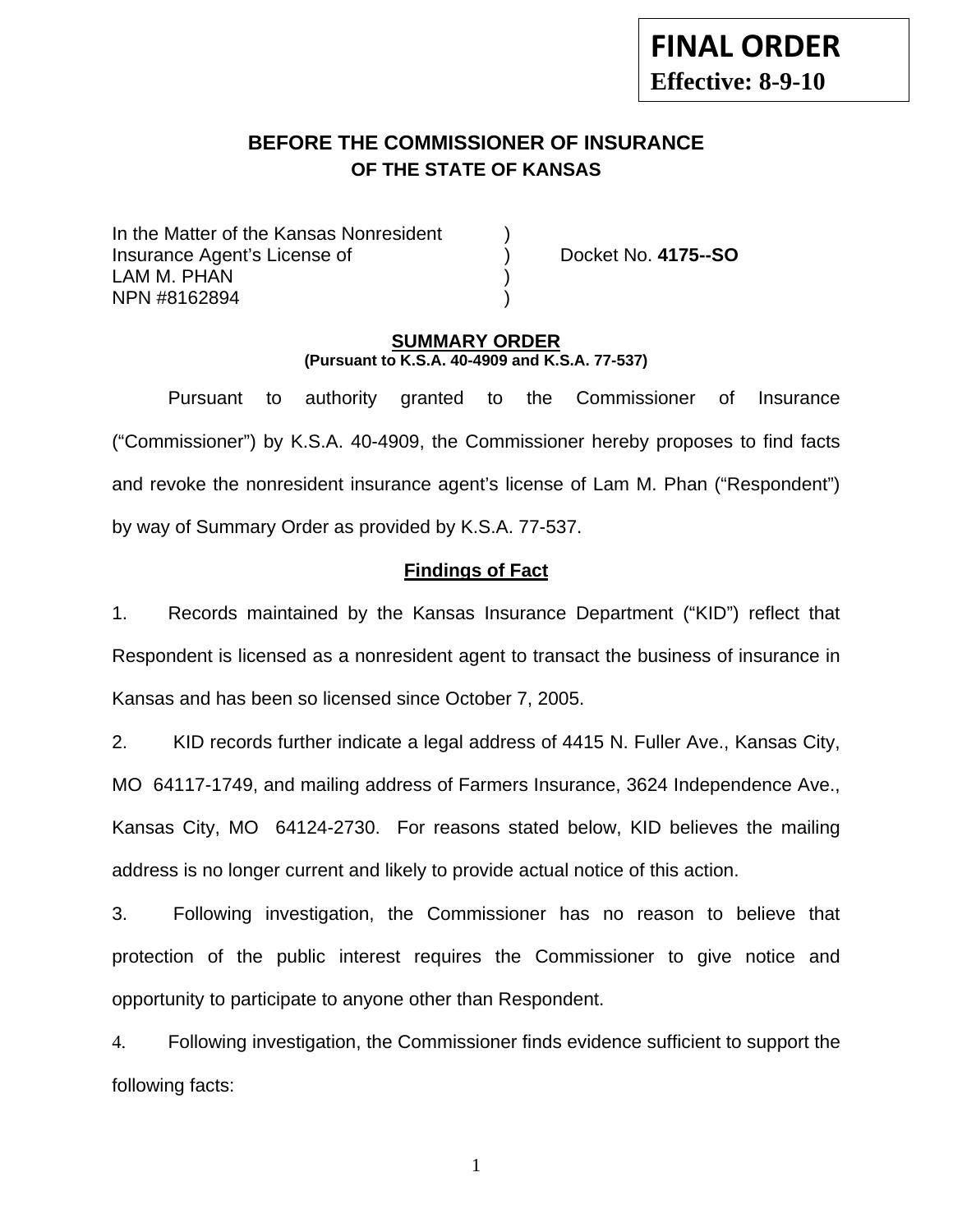# **BEFORE THE COMMISSIONER OF INSURANCE OF THE STATE OF KANSAS**

In the Matter of the Kansas Nonresident Insurance Agent's License of ) Docket No. **4175--SO** LAM M. PHAN NPN #8162894 )

### **SUMMARY ORDER (Pursuant to K.S.A. 40-4909 and K.S.A. 77-537)**

 Pursuant to authority granted to the Commissioner of Insurance ("Commissioner") by K.S.A. 40-4909, the Commissioner hereby proposes to find facts and revoke the nonresident insurance agent's license of Lam M. Phan ("Respondent") by way of Summary Order as provided by K.S.A. 77-537.

## **Findings of Fact**

1. Records maintained by the Kansas Insurance Department ("KID") reflect that Respondent is licensed as a nonresident agent to transact the business of insurance in Kansas and has been so licensed since October 7, 2005.

2. KID records further indicate a legal address of 4415 N. Fuller Ave., Kansas City, MO 64117-1749, and mailing address of Farmers Insurance, 3624 Independence Ave., Kansas City, MO 64124-2730. For reasons stated below, KID believes the mailing address is no longer current and likely to provide actual notice of this action.

3. Following investigation, the Commissioner has no reason to believe that protection of the public interest requires the Commissioner to give notice and opportunity to participate to anyone other than Respondent.

4. Following investigation, the Commissioner finds evidence sufficient to support the following facts:

1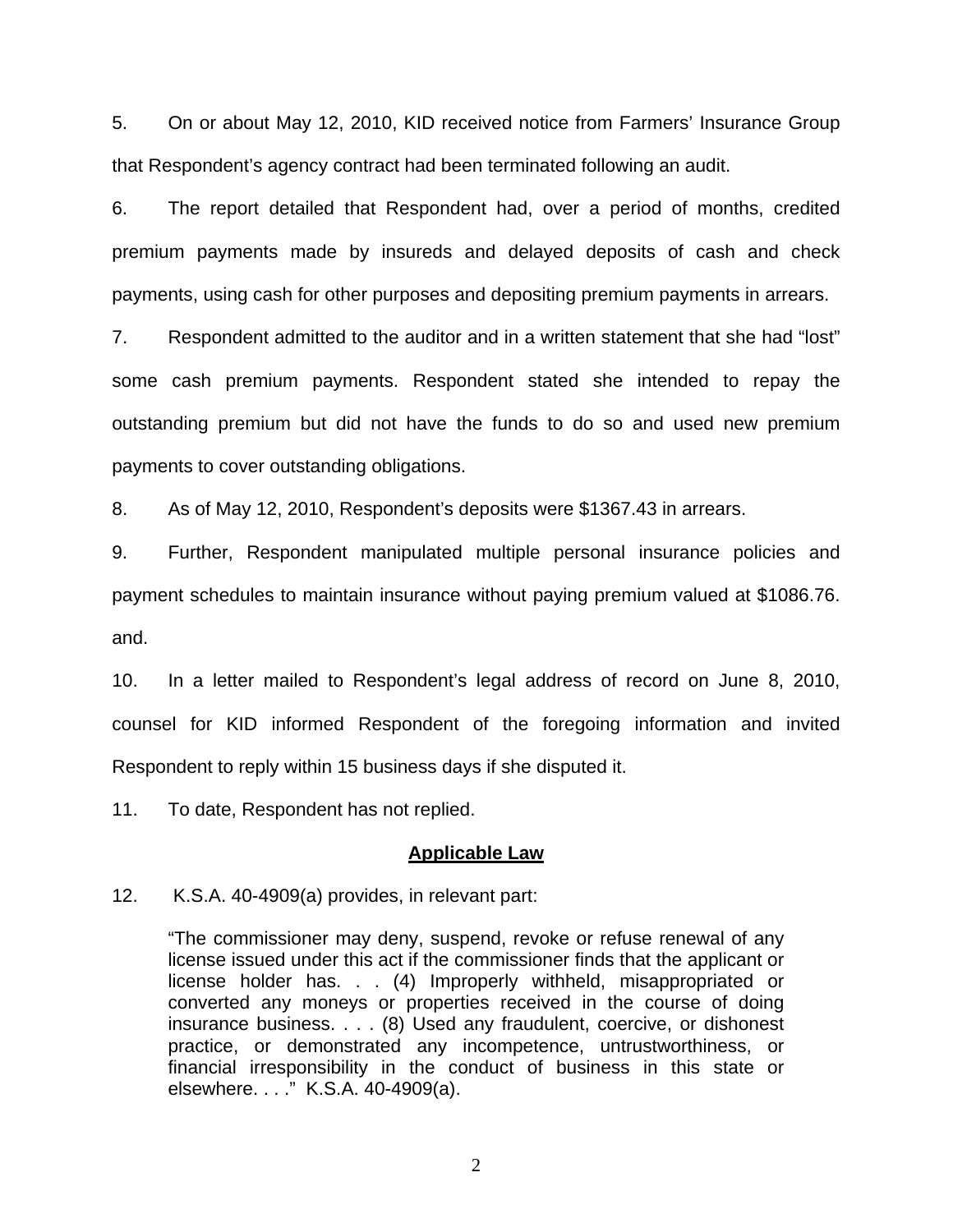5. On or about May 12, 2010, KID received notice from Farmers' Insurance Group that Respondent's agency contract had been terminated following an audit.

6. The report detailed that Respondent had, over a period of months, credited premium payments made by insureds and delayed deposits of cash and check payments, using cash for other purposes and depositing premium payments in arrears.

7. Respondent admitted to the auditor and in a written statement that she had "lost" some cash premium payments. Respondent stated she intended to repay the outstanding premium but did not have the funds to do so and used new premium payments to cover outstanding obligations.

8. As of May 12, 2010, Respondent's deposits were \$1367.43 in arrears.

9. Further, Respondent manipulated multiple personal insurance policies and payment schedules to maintain insurance without paying premium valued at \$1086.76. and.

10. In a letter mailed to Respondent's legal address of record on June 8, 2010, counsel for KID informed Respondent of the foregoing information and invited Respondent to reply within 15 business days if she disputed it.

11. To date, Respondent has not replied.

#### **Applicable Law**

12. K.S.A. 40-4909(a) provides, in relevant part:

"The commissioner may deny, suspend, revoke or refuse renewal of any license issued under this act if the commissioner finds that the applicant or license holder has. . . (4) Improperly withheld, misappropriated or converted any moneys or properties received in the course of doing insurance business. . . . (8) Used any fraudulent, coercive, or dishonest practice, or demonstrated any incompetence, untrustworthiness, or financial irresponsibility in the conduct of business in this state or elsewhere. . . ." K.S.A. 40-4909(a).

2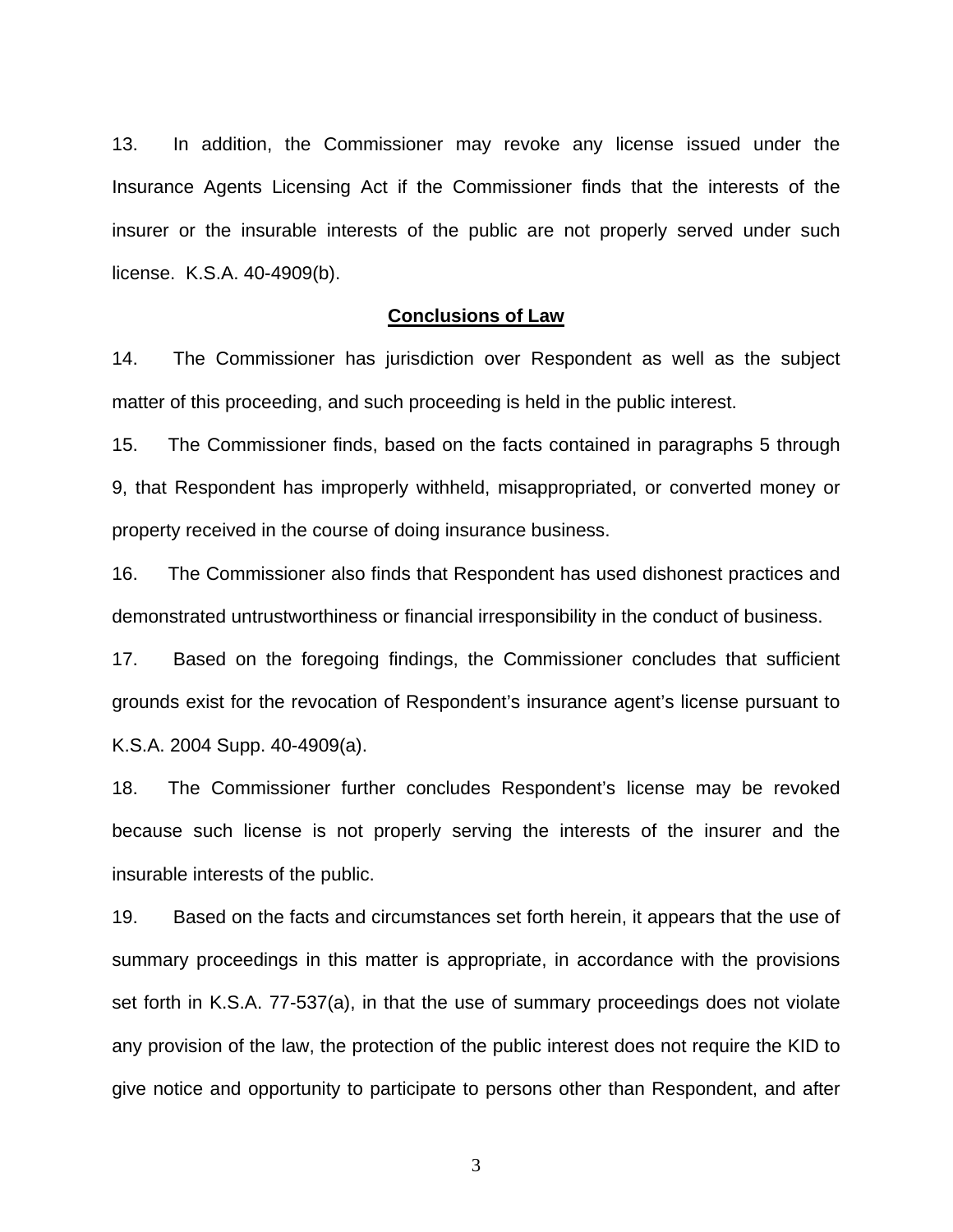13. In addition, the Commissioner may revoke any license issued under the Insurance Agents Licensing Act if the Commissioner finds that the interests of the insurer or the insurable interests of the public are not properly served under such license. K.S.A. 40-4909(b).

#### **Conclusions of Law**

14. The Commissioner has jurisdiction over Respondent as well as the subject matter of this proceeding, and such proceeding is held in the public interest.

15. The Commissioner finds, based on the facts contained in paragraphs 5 through 9, that Respondent has improperly withheld, misappropriated, or converted money or property received in the course of doing insurance business.

16. The Commissioner also finds that Respondent has used dishonest practices and demonstrated untrustworthiness or financial irresponsibility in the conduct of business.

17. Based on the foregoing findings, the Commissioner concludes that sufficient grounds exist for the revocation of Respondent's insurance agent's license pursuant to K.S.A. 2004 Supp. 40-4909(a).

18. The Commissioner further concludes Respondent's license may be revoked because such license is not properly serving the interests of the insurer and the insurable interests of the public.

19. Based on the facts and circumstances set forth herein, it appears that the use of summary proceedings in this matter is appropriate, in accordance with the provisions set forth in K.S.A. 77-537(a), in that the use of summary proceedings does not violate any provision of the law, the protection of the public interest does not require the KID to give notice and opportunity to participate to persons other than Respondent, and after

3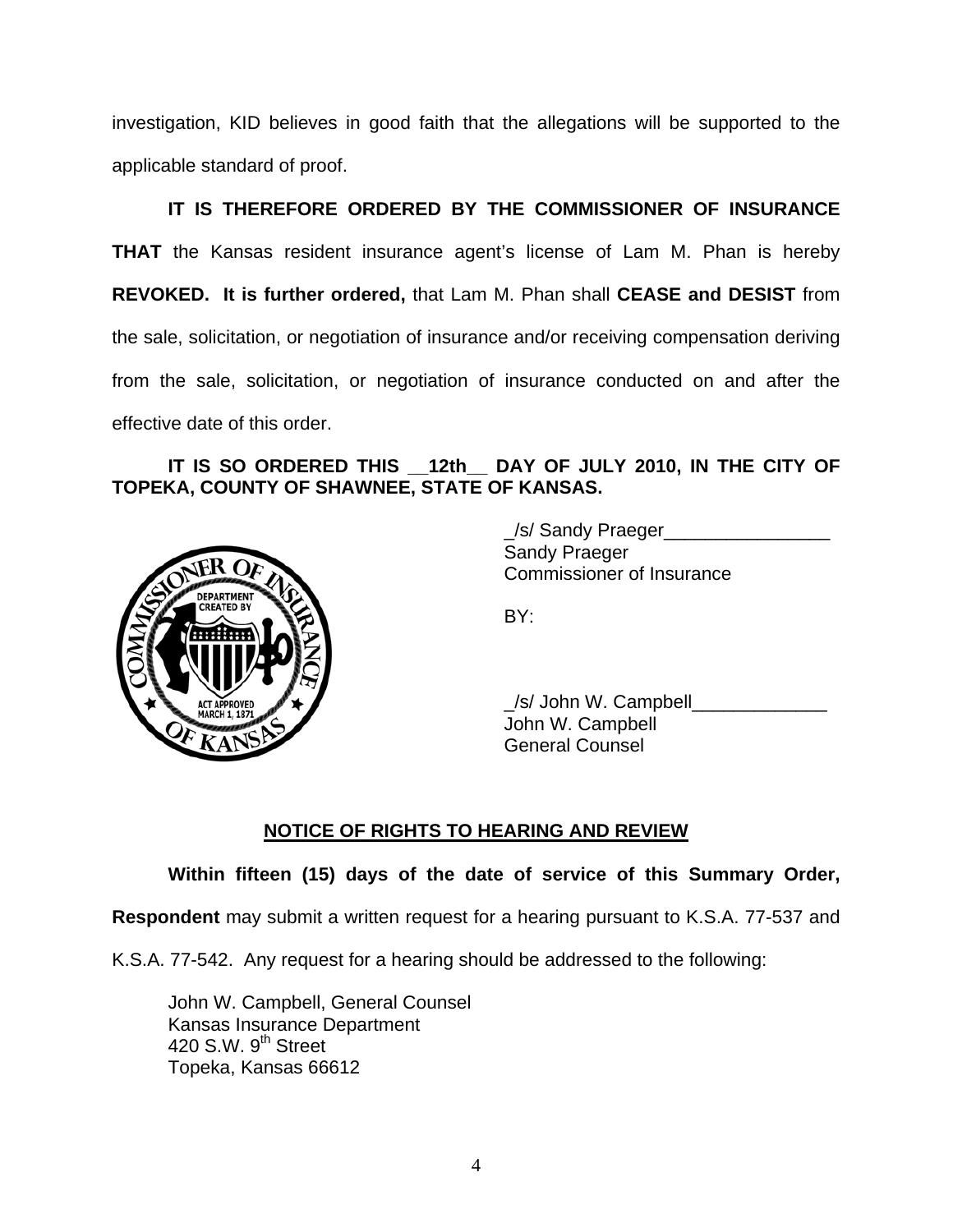investigation, KID believes in good faith that the allegations will be supported to the applicable standard of proof.

 **IT IS THEREFORE ORDERED BY THE COMMISSIONER OF INSURANCE THAT** the Kansas resident insurance agent's license of Lam M. Phan is hereby **REVOKED. It is further ordered,** that Lam M. Phan shall **CEASE and DESIST** from the sale, solicitation, or negotiation of insurance and/or receiving compensation deriving from the sale, solicitation, or negotiation of insurance conducted on and after the effective date of this order.

# **IT IS SO ORDERED THIS \_\_12th\_\_ DAY OF JULY 2010, IN THE CITY OF TOPEKA, COUNTY OF SHAWNEE, STATE OF KANSAS.**



 \_/s/ Sandy Praeger\_\_\_\_\_\_\_\_\_\_\_\_\_\_\_\_ Sandy Praeger Commissioner of Insurance

 $\angle$ s/ John W. Campbell $\Box$  John W. Campbell General Counsel

# **NOTICE OF RIGHTS TO HEARING AND REVIEW**

## **Within fifteen (15) days of the date of service of this Summary Order,**

**Respondent** may submit a written request for a hearing pursuant to K.S.A. 77-537 and

K.S.A. 77-542. Any request for a hearing should be addressed to the following:

 John W. Campbell, General Counsel Kansas Insurance Department 420 S.W.  $9<sup>th</sup>$  Street Topeka, Kansas 66612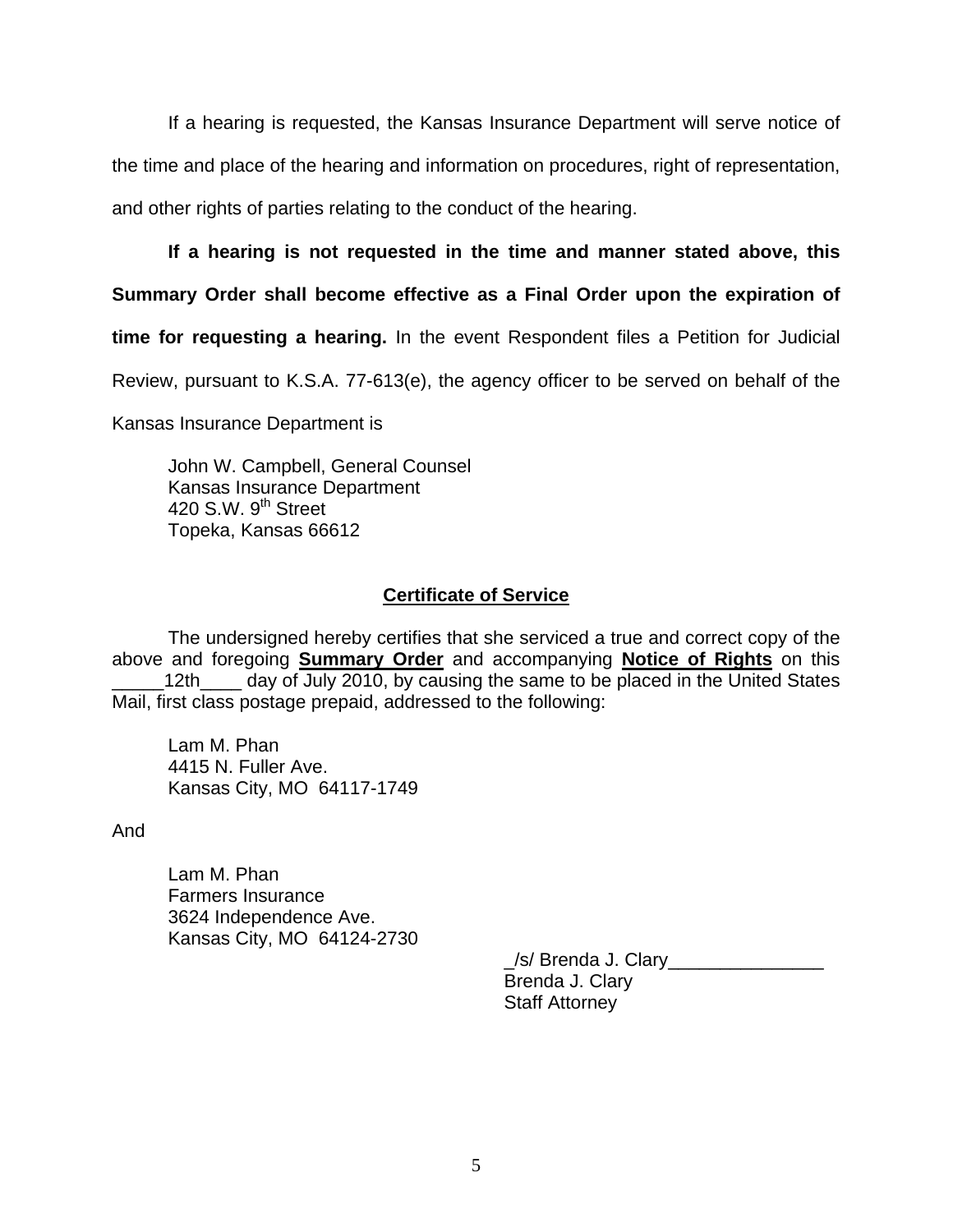If a hearing is requested, the Kansas Insurance Department will serve notice of the time and place of the hearing and information on procedures, right of representation, and other rights of parties relating to the conduct of the hearing.

## **If a hearing is not requested in the time and manner stated above, this**

**Summary Order shall become effective as a Final Order upon the expiration of** 

**time for requesting a hearing.** In the event Respondent files a Petition for Judicial

Review, pursuant to K.S.A. 77-613(e), the agency officer to be served on behalf of the

Kansas Insurance Department is

 John W. Campbell, General Counsel Kansas Insurance Department 420 S.W. 9<sup>th</sup> Street Topeka, Kansas 66612

## **Certificate of Service**

 The undersigned hereby certifies that she serviced a true and correct copy of the above and foregoing **Summary Order** and accompanying **Notice of Rights** on this 12th\_\_\_\_\_ day of July 2010, by causing the same to be placed in the United States Mail, first class postage prepaid, addressed to the following:

 Lam M. Phan 4415 N. Fuller Ave. Kansas City, MO 64117-1749

And

 Lam M. Phan Farmers Insurance 3624 Independence Ave. Kansas City, MO 64124-2730

> \_/s/ Brenda J. Clary\_\_\_\_\_\_\_\_\_\_\_\_\_\_\_ Brenda J. Clary Staff Attorney